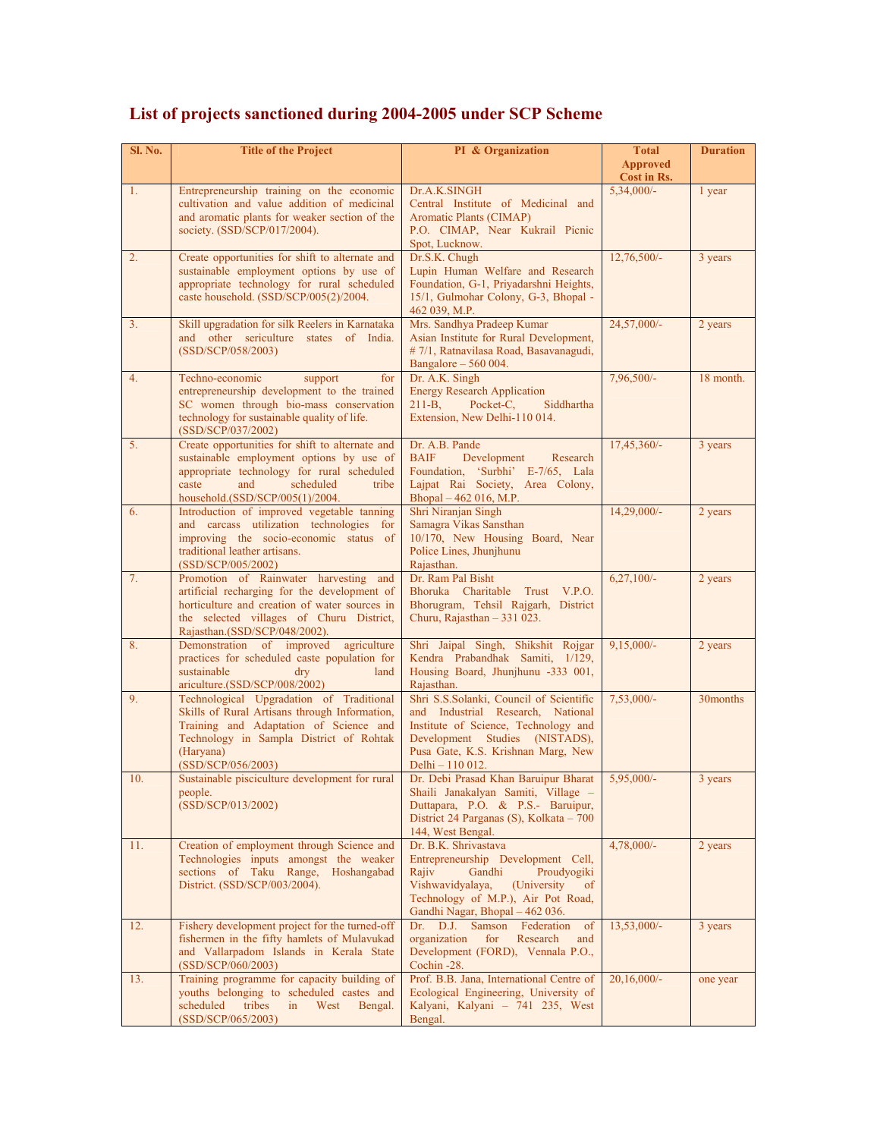| Sl. No. | <b>Title of the Project</b>                                                                                                                                                                                            | PI & Organization                                                                                                                                                                                                         | <b>Total</b><br><b>Approved</b> | <b>Duration</b> |
|---------|------------------------------------------------------------------------------------------------------------------------------------------------------------------------------------------------------------------------|---------------------------------------------------------------------------------------------------------------------------------------------------------------------------------------------------------------------------|---------------------------------|-----------------|
|         |                                                                                                                                                                                                                        |                                                                                                                                                                                                                           | Cost in Rs.                     |                 |
| 1.      | Entrepreneurship training on the economic<br>cultivation and value addition of medicinal<br>and aromatic plants for weaker section of the<br>society. (SSD/SCP/017/2004).                                              | Dr.A.K.SINGH<br>Central Institute of Medicinal and<br><b>Aromatic Plants (CIMAP)</b><br>P.O. CIMAP, Near Kukrail Picnic<br>Spot, Lucknow.                                                                                 | $5,34,000/-$                    | 1 year          |
| 2.      | Create opportunities for shift to alternate and<br>sustainable employment options by use of<br>appropriate technology for rural scheduled<br>caste household. (SSD/SCP/005(2)/2004.                                    | Dr.S.K. Chugh<br>Lupin Human Welfare and Research<br>Foundation, G-1, Priyadarshni Heights,<br>15/1, Gulmohar Colony, G-3, Bhopal -<br>462 039, M.P.                                                                      | 12,76,500/-                     | 3 years         |
| 3.      | Skill upgradation for silk Reelers in Karnataka<br>and other sericulture states of India.<br>(SSD/SCP/058/2003)                                                                                                        | Mrs. Sandhya Pradeep Kumar<br>Asian Institute for Rural Development,<br># 7/1, Ratnavilasa Road, Basavanagudi,<br>Bangalore $-560004$ .                                                                                   | 24,57,000/-                     | 2 years         |
| 4.      | Techno-economic<br>support<br>for<br>entrepreneurship development to the trained<br>SC women through bio-mass conservation<br>technology for sustainable quality of life.<br>(SSD/SCP/037/2002)                        | Dr. A.K. Singh<br><b>Energy Research Application</b><br>$211 - B$ ,<br>Pocket-C,<br>Siddhartha<br>Extension, New Delhi-110 014.                                                                                           | 7,96,500/-                      | 18 month.       |
| 5.      | Create opportunities for shift to alternate and<br>sustainable employment options by use of<br>appropriate technology for rural scheduled<br>caste<br>and<br>scheduled<br>tribe<br>household.(SSD/SCP/005(1)/2004.     | Dr. A.B. Pande<br>Development<br><b>BAIF</b><br>Research<br>Foundation, 'Surbhi' E-7/65, Lala<br>Lajpat Rai Society, Area Colony,<br>Bhopal - 462 016, M.P.                                                               | 17,45,360/-                     | 3 years         |
| 6.      | Introduction of improved vegetable tanning<br>and carcass utilization technologies for<br>improving the socio-economic status of<br>traditional leather artisans.<br>(SSD/SCP/005/2002)                                | Shri Niranjan Singh<br>Samagra Vikas Sansthan<br>10/170, New Housing Board, Near<br>Police Lines, Jhunjhunu<br>Rajasthan.                                                                                                 | 14,29,000/-                     | 2 years         |
| 7.      | Promotion of Rainwater harvesting<br>and<br>artificial recharging for the development of<br>horticulture and creation of water sources in<br>the selected villages of Churu District,<br>Rajasthan.(SSD/SCP/048/2002). | Dr. Ram Pal Bisht<br>Bhoruka Charitable Trust V.P.O.<br>Bhorugram, Tehsil Rajgarh, District<br>Churu, Rajasthan - 331 023.                                                                                                | $6,27,100/-$                    | 2 years         |
| 8.      | Demonstration of improved<br>agriculture<br>practices for scheduled caste population for<br>sustainable<br>land<br>$\rm{dry}$<br>ariculture.(SSD/SCP/008/2002)                                                         | Shri Jaipal Singh, Shikshit Rojgar<br>Kendra Prabandhak Samiti, 1/129,<br>Housing Board, Jhunjhunu -333 001,<br>Rajasthan.                                                                                                | $9,15,000/-$                    | 2 years         |
| 9.      | Technological Upgradation of Traditional<br>Skills of Rural Artisans through Information,<br>Training and Adaptation of Science and<br>Technology in Sampla District of Rohtak<br>(Haryana)<br>(SSD/SCP/056/2003)      | Shri S.S.Solanki, Council of Scientific<br>and Industrial Research, National<br>Institute of Science, Technology and<br>Development Studies (NISTADS),<br>Pusa Gate, K.S. Krishnan Marg, New<br>Delhi - 110 012.          | $7,53,000/-$                    | 30 months       |
| 10.     | Sustainable pisciculture development for rural<br>people.<br>(SSD/SCP/013/2002)                                                                                                                                        | Dr. Debi Prasad Khan Baruipur Bharat<br>Shaili Janakalyan Samiti, Village -<br>Duttapara, P.O. & P.S.- Baruipur,<br>District 24 Parganas (S), Kolkata - 700<br>144, West Bengal.                                          | $5,95,000/-$                    | 3 years         |
| 11.     | Creation of employment through Science and<br>Technologies inputs amongst the weaker<br>sections of Taku Range, Hoshangabad<br>District. (SSD/SCP/003/2004).                                                           | Dr. B.K. Shrivastava<br>Entrepreneurship Development Cell,<br>Gandhi<br>Proudyogiki<br>Rajiv<br>Vishwavidyalaya,<br>(University<br><sub>of</sub><br>Technology of M.P.), Air Pot Road,<br>Gandhi Nagar, Bhopal - 462 036. | $4,78,000/-$                    | 2 years         |
| 12.     | Fishery development project for the turned-off<br>fishermen in the fifty hamlets of Mulavukad<br>and Vallarpadom Islands in Kerala State<br>(SSD/SCP/060/2003)                                                         | Samson<br>Federation<br>Dr.<br>D.J.<br><sub>of</sub><br>organization<br>for<br>Research<br>and<br>Development (FORD), Vennala P.O.,<br>Cochin-28.                                                                         | 13,53,000/-                     | 3 years         |
| 13.     | Training programme for capacity building of<br>youths belonging to scheduled castes and<br>scheduled<br>tribes<br>in<br>West<br>Bengal.<br>(SSD/SCP/065/2003)                                                          | Prof. B.B. Jana, International Centre of<br>Ecological Engineering, University of<br>Kalyani, Kalyani - 741 235, West<br>Bengal.                                                                                          | $20,16,000/$ -                  | one year        |

## **List of projects sanctioned during 2004-2005 under SCP Scheme**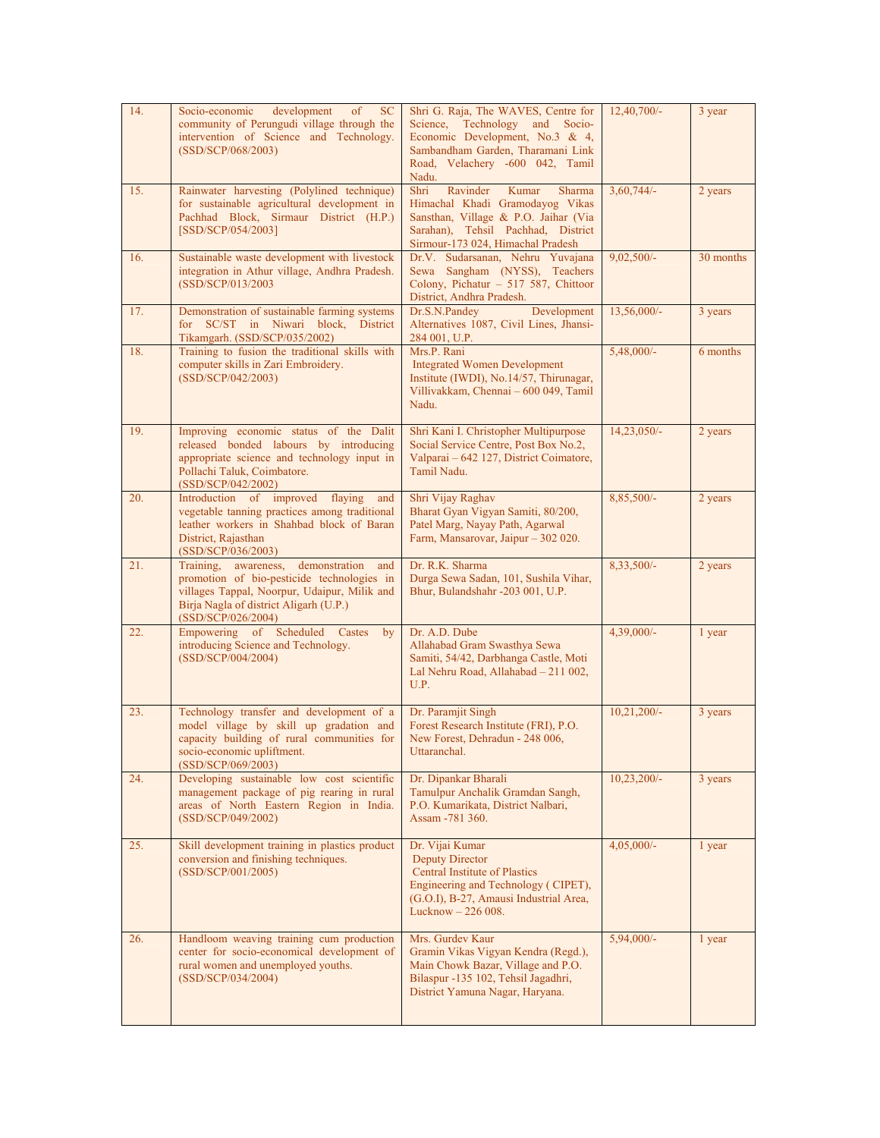| 14. | <b>SC</b><br>Socio-economic<br>development<br>of<br>community of Perungudi village through the<br>intervention of Science and Technology.<br>(SSD/SCP/068/2003)                                            | Shri G. Raja, The WAVES, Centre for<br>Science, Technology and Socio-<br>Economic Development, No.3 & 4,<br>Sambandham Garden, Tharamani Link<br>Road, Velachery -600 042, Tamil<br>Nadu. | $12,40,700/-$ | 3 year    |
|-----|------------------------------------------------------------------------------------------------------------------------------------------------------------------------------------------------------------|-------------------------------------------------------------------------------------------------------------------------------------------------------------------------------------------|---------------|-----------|
| 15. | Rainwater harvesting (Polylined technique)<br>for sustainable agricultural development in<br>Pachhad Block, Sirmaur District (H.P.)<br>[SSD/SCP/054/2003]                                                  | Ravinder<br>Kumar<br>Sharma<br>Shri<br>Himachal Khadi Gramodayog Vikas<br>Sansthan, Village & P.O. Jaihar (Via<br>Sarahan), Tehsil Pachhad, District<br>Sirmour-173 024, Himachal Pradesh | $3,60,744/-$  | 2 years   |
| 16. | Sustainable waste development with livestock<br>integration in Athur village, Andhra Pradesh.<br>(SSD/SCP/013/2003                                                                                         | Dr.V. Sudarsanan, Nehru Yuvajana<br>Sewa Sangham (NYSS), Teachers<br>Colony, Pichatur - 517 587, Chittoor<br>District, Andhra Pradesh.                                                    | $9,02,500/-$  | 30 months |
| 17. | Demonstration of sustainable farming systems<br>for SC/ST in Niwari block, District<br>Tikamgarh. (SSD/SCP/035/2002)                                                                                       | Development<br>Dr.S.N.Pandey<br>Alternatives 1087, Civil Lines, Jhansi-<br>284 001, U.P.                                                                                                  | $13,56,000/-$ | 3 years   |
| 18. | Training to fusion the traditional skills with<br>computer skills in Zari Embroidery.<br>(SSD/SCP/042/2003)                                                                                                | Mrs.P. Rani<br><b>Integrated Women Development</b><br>Institute (IWDI), No.14/57, Thirunagar,<br>Villivakkam, Chennai - 600 049, Tamil<br>Nadu.                                           | $5,48,000/-$  | 6 months  |
| 19. | Improving economic status of the Dalit<br>released bonded labours by introducing<br>appropriate science and technology input in<br>Pollachi Taluk, Coimbatore.<br>(SSD/SCP/042/2002)                       | Shri Kani I. Christopher Multipurpose<br>Social Service Centre, Post Box No.2,<br>Valparai - 642 127, District Coimatore,<br>Tamil Nadu.                                                  | 14,23,050/-   | 2 years   |
| 20. | Introduction of improved flaying<br>and<br>vegetable tanning practices among traditional<br>leather workers in Shahbad block of Baran<br>District, Rajasthan<br>(SSD/SCP/036/2003)                         | Shri Vijay Raghav<br>Bharat Gyan Vigyan Samiti, 80/200,<br>Patel Marg, Nayay Path, Agarwal<br>Farm, Mansarovar, Jaipur - 302 020.                                                         | 8,85,500/-    | 2 years   |
| 21. | Training, awareness,<br>demonstration<br>and<br>promotion of bio-pesticide technologies in<br>villages Tappal, Noorpur, Udaipur, Milik and<br>Birja Nagla of district Aligarh (U.P.)<br>(SSD/SCP/026/2004) | Dr. R.K. Sharma<br>Durga Sewa Sadan, 101, Sushila Vihar,<br>Bhur, Bulandshahr -203 001, U.P.                                                                                              | 8,33,500/-    | 2 years   |
| 22. | Empowering of Scheduled Castes<br>by<br>introducing Science and Technology.<br>(SSD/SCP/004/2004)                                                                                                          | Dr. A.D. Dube<br>Allahabad Gram Swasthya Sewa<br>Samiti, 54/42, Darbhanga Castle, Moti<br>Lal Nehru Road, Allahabad - 211 002,<br>U.P.                                                    | 4,39,000/-    | 1 year    |
| 23. | Technology transfer and development of a<br>model village by skill up gradation and<br>capacity building of rural communities for<br>socio-economic upliftment.<br>(SSD/SCP/069/2003)                      | Dr. Paramjit Singh<br>Forest Research Institute (FRI), P.O.<br>New Forest, Dehradun - 248 006,<br>Uttaranchal.                                                                            | $10,21,200/-$ | 3 years   |
| 24. | Developing sustainable low cost scientific<br>management package of pig rearing in rural<br>areas of North Eastern Region in India.<br>(SSD/SCP/049/2002)                                                  | Dr. Dipankar Bharali<br>Tamulpur Anchalik Gramdan Sangh,<br>P.O. Kumarikata, District Nalbari,<br>Assam -781 360.                                                                         | $10,23,200/-$ | 3 years   |
| 25. | Skill development training in plastics product<br>conversion and finishing techniques.<br>(SSD/SCP/001/2005)                                                                                               | Dr. Vijai Kumar<br><b>Deputy Director</b><br><b>Central Institute of Plastics</b><br>Engineering and Technology (CIPET),<br>(G.O.I), B-27, Amausi Industrial Area,<br>Lucknow - 226 008.  | $4,05,000/-$  | 1 year    |
| 26. | Handloom weaving training cum production<br>center for socio-economical development of<br>rural women and unemployed youths.<br>(SSD/SCP/034/2004)                                                         | Mrs. Gurdev Kaur<br>Gramin Vikas Vigyan Kendra (Regd.),<br>Main Chowk Bazar, Village and P.O.<br>Bilaspur -135 102, Tehsil Jagadhri,<br>District Yamuna Nagar, Haryana.                   | $5,94,000/-$  | 1 year    |